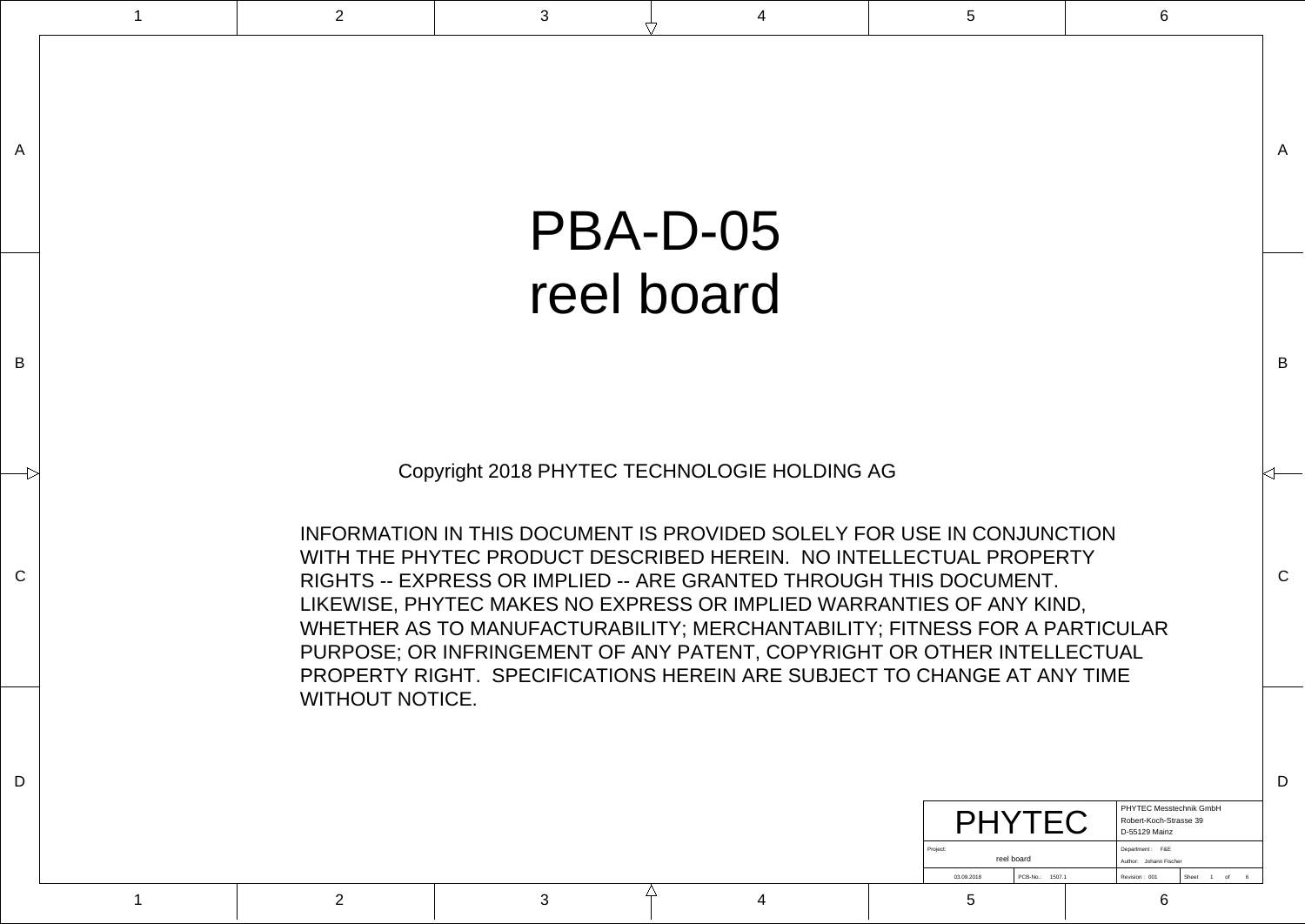$\mathcal{C}$ 

B

A

| PHY                    |                    | PHYTEC Messtechnik GmbH<br>Robert-Koch-Strasse 39<br>D-55129 Mainz |  |
|------------------------|--------------------|--------------------------------------------------------------------|--|
| Project:<br>reel board |                    | Department: F&E<br>Author: Johann Fischer                          |  |
| 03.09.2018             | PCB-No.:<br>1507.1 | Revision: 001<br>Sheet<br>6<br>of                                  |  |

 $\mathcal{C}$ 

Copyright 2018 PHYTEC TECHNOLOGIE HOLDING AG

INFORMATION IN THIS DOCUMENT IS PROVIDED SOLELY FOR USE IN CONJUNCTION WITH THE PHYTEC PRODUCT DESCRIBED HEREIN. NO INTELLECTUAL PROPERTY RIGHTS -- EXPRESS OR IMPLIED -- ARE GRANTED THROUGH THIS DOCUMENT. LIKEWISE, PHYTEC MAKES NO EXPRESS OR IMPLIED WARRANTIES OF ANY KIND, WHETHER AS TO MANUFACTURABILITY; MERCHANTABILITY; FITNESS FOR A PARTICULAR PURPOSE; OR INFRINGEMENT OF ANY PATENT, COPYRIGHT OR OTHER INTELLECTUAL PROPERTY RIGHT. SPECIFICATIONS HEREIN ARE SUBJECT TO CHANGE AT ANY TIME WITHOUT NOTICE.

B

A

## PBA-D-05 reel board

1 and  $\begin{array}{cccccccccccccc} 1 & 2 & 3 & 3 & 4 & 5 & 5 & 6 \end{array}$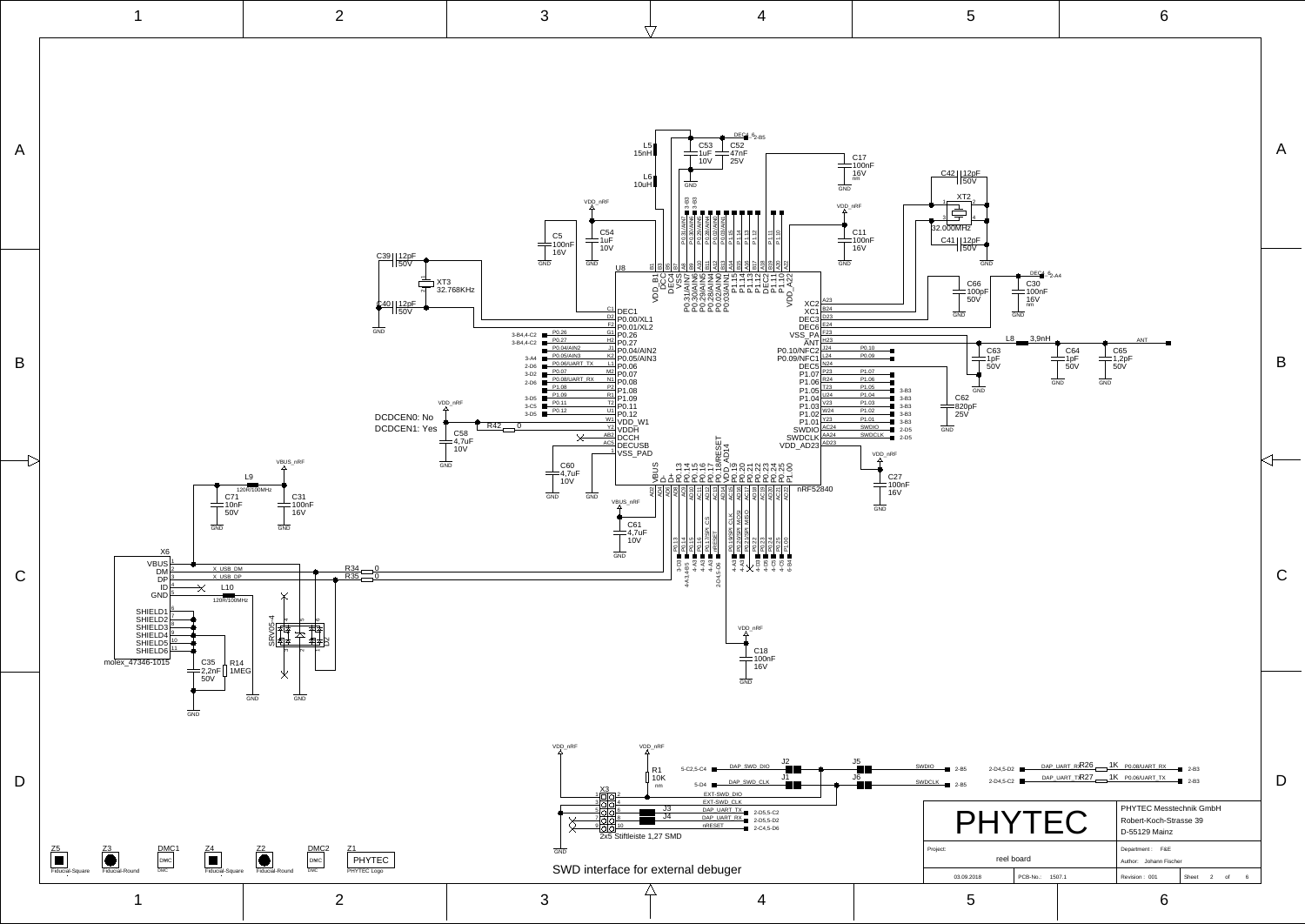<span id="page-1-74"></span><span id="page-1-73"></span><span id="page-1-72"></span><span id="page-1-71"></span><span id="page-1-70"></span><span id="page-1-69"></span><span id="page-1-68"></span><span id="page-1-67"></span><span id="page-1-66"></span><span id="page-1-65"></span><span id="page-1-64"></span><span id="page-1-63"></span><span id="page-1-62"></span><span id="page-1-61"></span><span id="page-1-60"></span><span id="page-1-59"></span><span id="page-1-58"></span><span id="page-1-57"></span><span id="page-1-56"></span><span id="page-1-55"></span><span id="page-1-54"></span><span id="page-1-53"></span><span id="page-1-52"></span><span id="page-1-51"></span><span id="page-1-50"></span><span id="page-1-49"></span><span id="page-1-48"></span><span id="page-1-47"></span><span id="page-1-46"></span><span id="page-1-45"></span><span id="page-1-44"></span><span id="page-1-43"></span><span id="page-1-42"></span><span id="page-1-41"></span><span id="page-1-40"></span><span id="page-1-39"></span><span id="page-1-38"></span><span id="page-1-37"></span><span id="page-1-36"></span><span id="page-1-35"></span><span id="page-1-34"></span><span id="page-1-33"></span><span id="page-1-32"></span><span id="page-1-31"></span><span id="page-1-30"></span><span id="page-1-29"></span><span id="page-1-28"></span><span id="page-1-27"></span><span id="page-1-26"></span><span id="page-1-25"></span><span id="page-1-24"></span><span id="page-1-23"></span><span id="page-1-22"></span><span id="page-1-21"></span><span id="page-1-20"></span><span id="page-1-19"></span><span id="page-1-18"></span><span id="page-1-17"></span><span id="page-1-16"></span><span id="page-1-15"></span><span id="page-1-14"></span><span id="page-1-13"></span><span id="page-1-12"></span><span id="page-1-11"></span><span id="page-1-10"></span><span id="page-1-9"></span><span id="page-1-8"></span><span id="page-1-7"></span><span id="page-1-6"></span><span id="page-1-5"></span><span id="page-1-4"></span><span id="page-1-3"></span><span id="page-1-2"></span><span id="page-1-1"></span><span id="page-1-0"></span>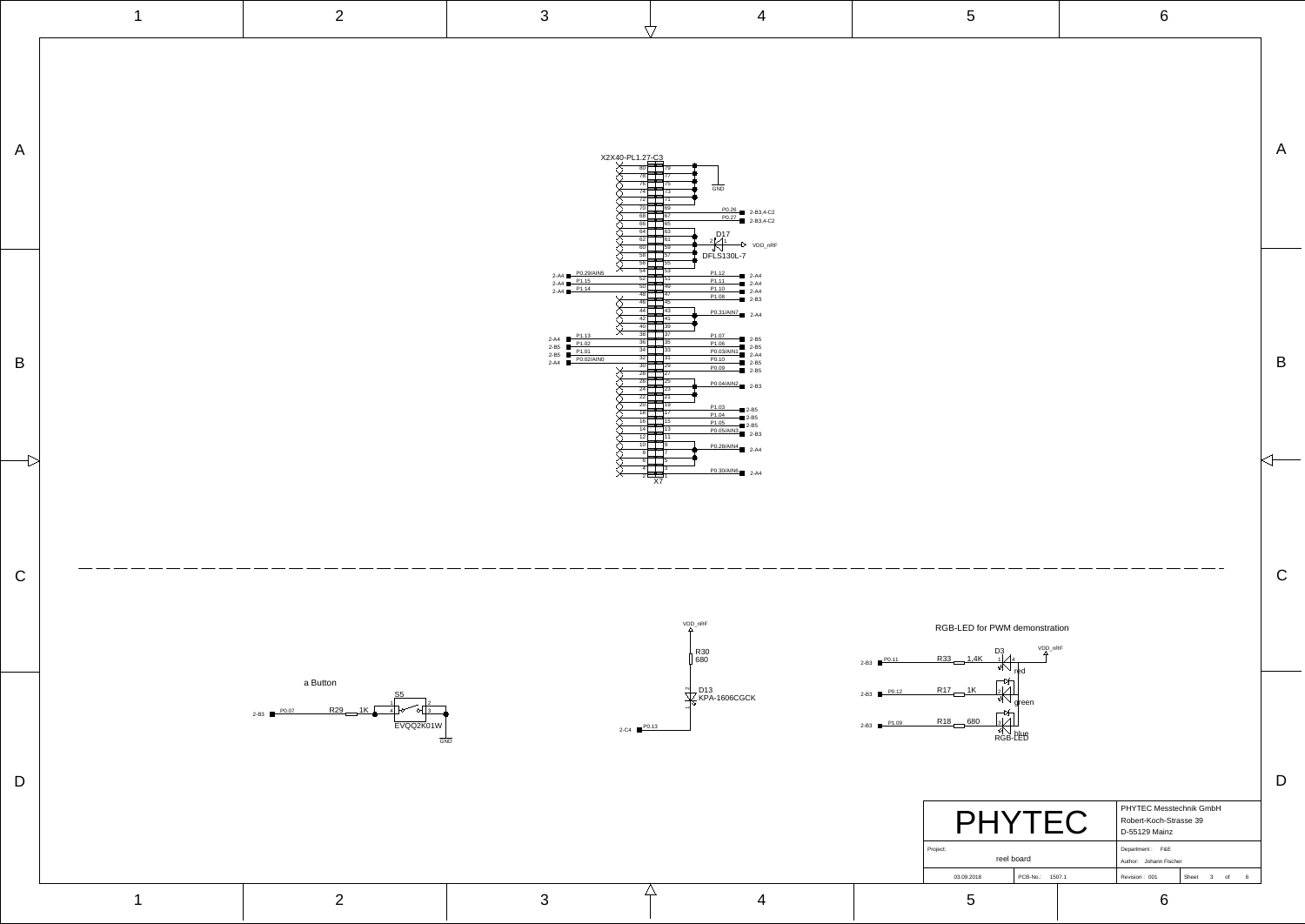<span id="page-2-22"></span><span id="page-2-21"></span><span id="page-2-18"></span><span id="page-2-16"></span><span id="page-2-12"></span><span id="page-2-3"></span>

<span id="page-2-11"></span><span id="page-2-2"></span>

|                        |          | PHYTEC Messtechnik GmbH<br>Robert-Koch-Strasse 39<br>D-55129 Mainz |               |       |   |    |   |  |
|------------------------|----------|--------------------------------------------------------------------|---------------|-------|---|----|---|--|
| Project:<br>reel board |          | Department: F&E<br>Johann Fischer<br>Author:                       |               |       |   |    |   |  |
| 03.09.2018             | PCB-No.: | 1507.1                                                             | Revision: 001 | Sheet | 3 | of | 6 |  |
|                        |          |                                                                    |               |       |   |    |   |  |

C

B

A

<span id="page-2-31"></span><span id="page-2-30"></span><span id="page-2-28"></span><span id="page-2-27"></span><span id="page-2-26"></span><span id="page-2-25"></span><span id="page-2-24"></span><span id="page-2-23"></span><span id="page-2-20"></span><span id="page-2-19"></span><span id="page-2-17"></span><span id="page-2-15"></span><span id="page-2-14"></span><span id="page-2-13"></span><span id="page-2-10"></span><span id="page-2-9"></span><span id="page-2-7"></span><span id="page-2-5"></span><span id="page-2-4"></span><span id="page-2-1"></span><span id="page-2-0"></span>

red

D3<br>⊣∠/4

<span id="page-2-29"></span><span id="page-2-8"></span><span id="page-2-6"></span>

| 2       |  |
|---------|--|
| green   |  |
| 3       |  |
| RGB-PEB |  |
|         |  |
|         |  |
|         |  |

VDD\_nRF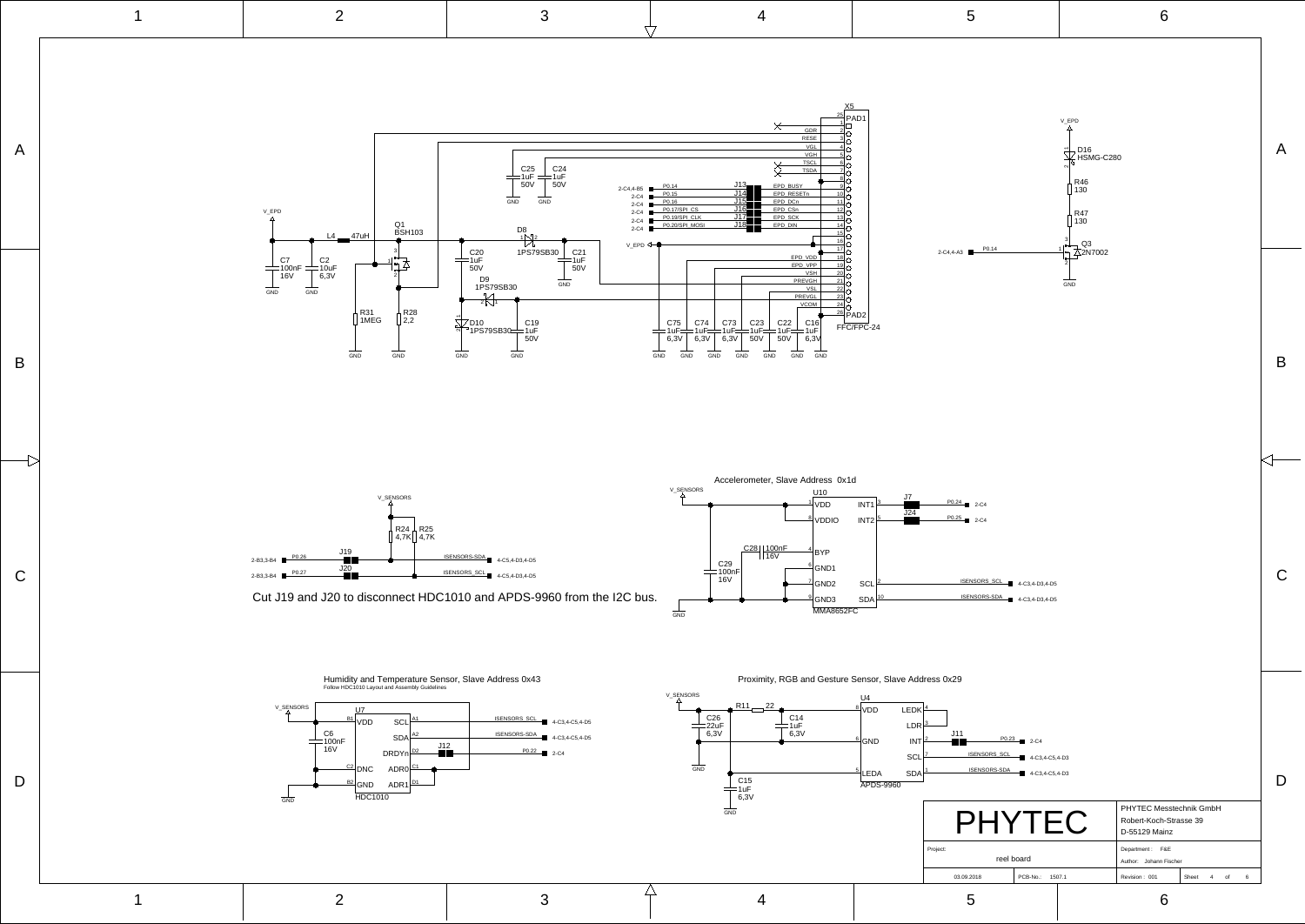C

B

 $\overline{\overline{C}}$ 

<span id="page-3-12"></span>A

<span id="page-3-23"></span><span id="page-3-22"></span>

D

C

B

A



<span id="page-3-31"></span><span id="page-3-27"></span><span id="page-3-2"></span>Humidity and Temperature Sensor, Slave Address 0x43 Follow HDC1010 Layout and Assembly Guideline

<span id="page-3-18"></span>

<span id="page-3-30"></span><span id="page-3-28"></span><span id="page-3-26"></span><span id="page-3-24"></span><span id="page-3-3"></span>Proximity, RGB and Gesture Sensor
, Slave Address 0x29



<span id="page-3-21"></span><span id="page-3-20"></span><span id="page-3-19"></span><span id="page-3-16"></span><span id="page-3-15"></span><span id="page-3-14"></span><span id="page-3-13"></span><span id="page-3-9"></span><span id="page-3-8"></span><span id="page-3-7"></span><span id="page-3-6"></span><span id="page-3-5"></span><span id="page-3-4"></span><span id="page-3-1"></span><span id="page-3-0"></span>

Cut J19 and J20 to disconnect HDC1010 and APDS-9960 from the I2C bus.

<span id="page-3-29"></span><span id="page-3-25"></span><span id="page-3-17"></span><span id="page-3-11"></span><span id="page-3-10"></span>![](_page_3_Figure_1.jpeg)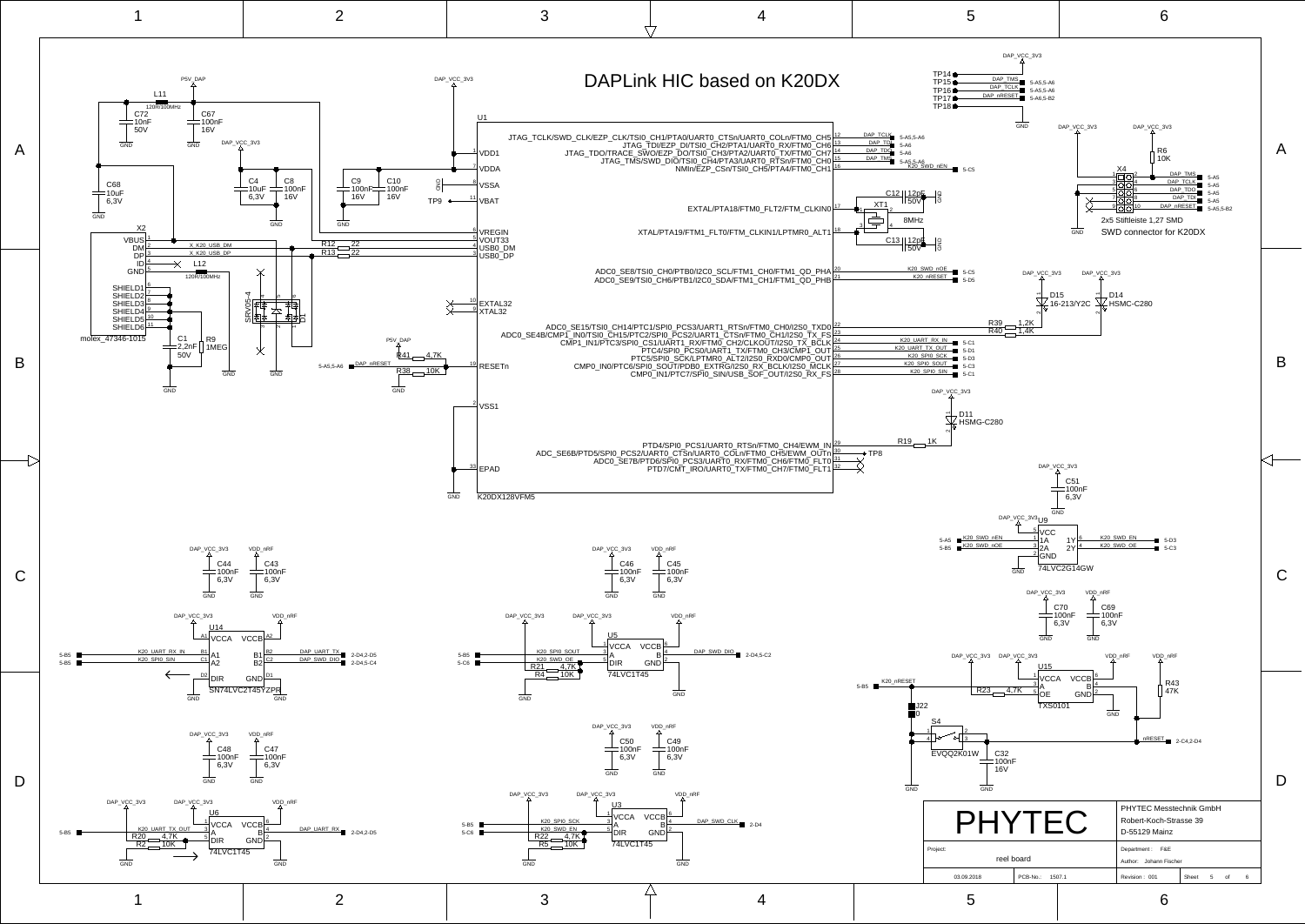<span id="page-4-68"></span><span id="page-4-67"></span><span id="page-4-66"></span><span id="page-4-65"></span><span id="page-4-64"></span><span id="page-4-63"></span><span id="page-4-62"></span><span id="page-4-61"></span><span id="page-4-60"></span><span id="page-4-59"></span><span id="page-4-58"></span><span id="page-4-57"></span><span id="page-4-56"></span><span id="page-4-55"></span><span id="page-4-54"></span><span id="page-4-53"></span><span id="page-4-52"></span><span id="page-4-51"></span><span id="page-4-50"></span><span id="page-4-49"></span><span id="page-4-48"></span><span id="page-4-47"></span><span id="page-4-46"></span><span id="page-4-45"></span><span id="page-4-44"></span><span id="page-4-43"></span><span id="page-4-42"></span><span id="page-4-41"></span><span id="page-4-40"></span><span id="page-4-39"></span><span id="page-4-38"></span><span id="page-4-37"></span><span id="page-4-36"></span><span id="page-4-35"></span><span id="page-4-34"></span><span id="page-4-33"></span><span id="page-4-32"></span><span id="page-4-31"></span><span id="page-4-30"></span><span id="page-4-29"></span><span id="page-4-28"></span><span id="page-4-27"></span><span id="page-4-26"></span><span id="page-4-25"></span><span id="page-4-24"></span><span id="page-4-23"></span><span id="page-4-22"></span><span id="page-4-21"></span><span id="page-4-20"></span><span id="page-4-19"></span><span id="page-4-18"></span><span id="page-4-17"></span><span id="page-4-16"></span><span id="page-4-15"></span><span id="page-4-14"></span><span id="page-4-13"></span><span id="page-4-12"></span><span id="page-4-11"></span><span id="page-4-10"></span><span id="page-4-9"></span><span id="page-4-8"></span><span id="page-4-7"></span><span id="page-4-6"></span><span id="page-4-5"></span><span id="page-4-4"></span><span id="page-4-3"></span><span id="page-4-2"></span><span id="page-4-1"></span><span id="page-4-0"></span>![](_page_4_Figure_0.jpeg)